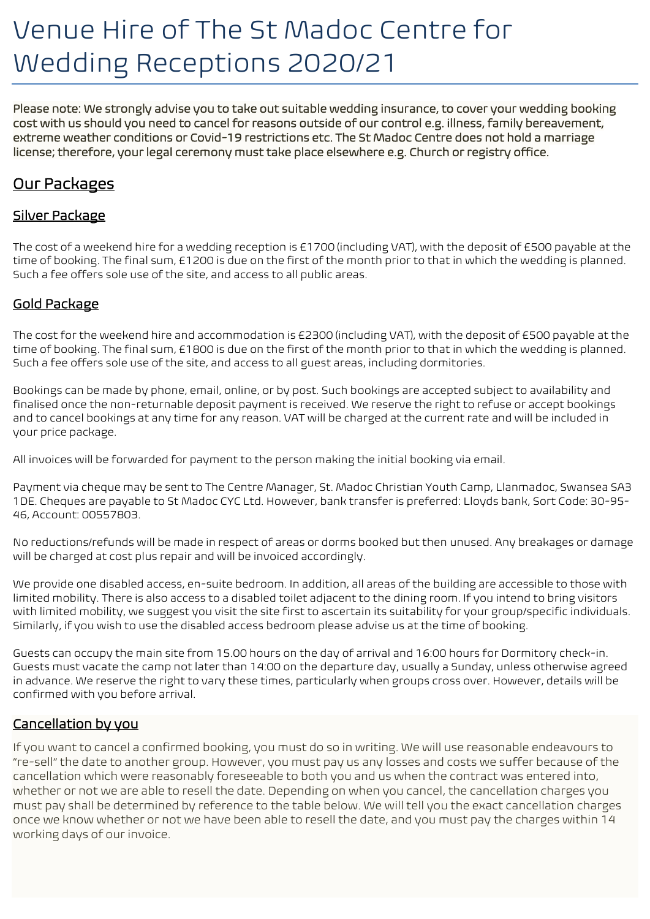# Venue Hire of The St Madoc Centre for Wedding Receptions 2020/21

Please note: We strongly advise you to take out suitable wedding insurance, to cover your wedding booking cost with us should you need to cancel for reasons outside of our control e.g. illness, family bereavement, extreme weather conditions or Covid-19 restrictions etc. The St Madoc Centre does not hold a marriage license; therefore, your legal ceremony must take place elsewhere e.g. Church or registry office.

## Our Packages

## Silver Package

The cost of a weekend hire for a wedding reception is £1700 (including VAT), with the deposit of £500 payable at the time of booking. The final sum, £1200 is due on the first of the month prior to that in which the wedding is planned. Such a fee offers sole use of the site, and access to all public areas.

## Gold Package

The cost for the weekend hire and accommodation is £2300 (including VAT), with the deposit of £500 payable at the time of booking. The final sum, £1800 is due on the first of the month prior to that in which the wedding is planned. Such a fee offers sole use of the site, and access to all guest areas, including dormitories.

Bookings can be made by phone, email, online, or by post. Such bookings are accepted subject to availability and finalised once the non-returnable deposit payment is received. We reserve the right to refuse or accept bookings and to cancel bookings at any time for any reason. VAT will be charged at the current rate and will be included in your price package.

All invoices will be forwarded for payment to the person making the initial booking via email.

Payment via cheque may be sent to The Centre Manager, St. Madoc Christian Youth Camp, Llanmadoc, Swansea SA3 1DE. Cheques are payable to St Madoc CYC Ltd. However, bank transfer is preferred: Lloyds bank, Sort Code: 30-95- 46, Account: 00557803.

No reductions/refunds will be made in respect of areas or dorms booked but then unused. Any breakages or damage will be charged at cost plus repair and will be invoiced accordingly.

We provide one disabled access, en-suite bedroom. In addition, all areas of the building are accessible to those with limited mobility. There is also access to a disabled toilet adjacent to the dining room. If you intend to bring visitors with limited mobility, we suggest you visit the site first to ascertain its suitability for your group/specific individuals. Similarly, if you wish to use the disabled access bedroom please advise us at the time of booking.

Guests can occupy the main site from 15.00 hours on the day of arrival and 16:00 hours for Dormitory check-in. Guests must vacate the camp not later than 14:00 on the departure day, usually a Sunday, unless otherwise agreed in advance. We reserve the right to vary these times, particularly when groups cross over. However, details will be confirmed with you before arrival.

### Cancellation by you

If you want to cancel a confirmed booking, you must do so in writing. We will use reasonable endeavours to "re-sell" the date to another group. However, you must pay us any losses and costs we suffer because of the cancellation which were reasonably foreseeable to both you and us when the contract was entered into, whether or not we are able to resell the date. Depending on when you cancel, the cancellation charges you must pay shall be determined by reference to the table below. We will tell you the exact cancellation charges once we know whether or not we have been able to resell the date, and you must pay the charges within 14 working days of our invoice.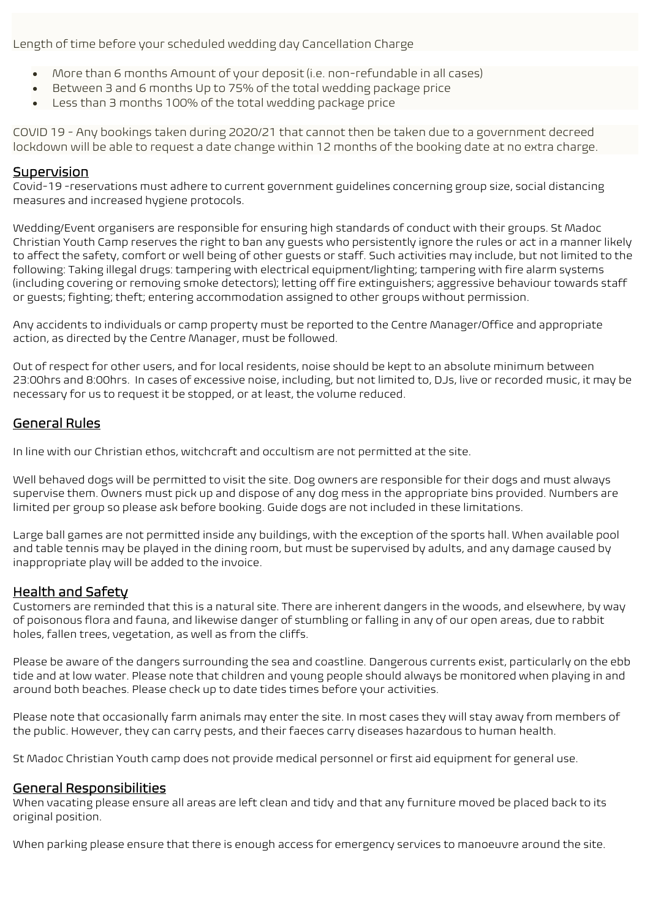Length of time before your scheduled wedding day Cancellation Charge

- More than 6 months Amount of your deposit (i.e. non-refundable in all cases)
- Between 3 and 6 months Up to 75% of the total wedding package price
- Less than 3 months 100% of the total wedding package price

COVID 19 - Any bookings taken during 2020/21 that cannot then be taken due to a government decreed lockdown will be able to request a date change within 12 months of the booking date at no extra charge.

#### **Supervision**

Covid-19 -reservations must adhere to current government guidelines concerning group size, social distancing measures and increased hygiene protocols.

Wedding/Event organisers are responsible for ensuring high standards of conduct with their groups. St Madoc Christian Youth Camp reserves the right to ban any guests who persistently ignore the rules or act in a manner likely to affect the safety, comfort or well being of other guests or staff. Such activities may include, but not limited to the following: Taking illegal drugs: tampering with electrical equipment/lighting; tampering with fire alarm systems (including covering or removing smoke detectors); letting off fire extinguishers; aggressive behaviour towards staff or guests; fighting; theft; entering accommodation assigned to other groups without permission.

Any accidents to individuals or camp property must be reported to the Centre Manager/Office and appropriate action, as directed by the Centre Manager, must be followed.

Out of respect for other users, and for local residents, noise should be kept to an absolute minimum between 23:00hrs and 8:00hrs. In cases of excessive noise, including, but not limited to, DJs, live or recorded music, it may be necessary for us to request it be stopped, or at least, the volume reduced.

#### General Rules

In line with our Christian ethos, witchcraft and occultism are not permitted at the site.

Well behaved dogs will be permitted to visit the site. Dog owners are responsible for their dogs and must always supervise them. Owners must pick up and dispose of any dog mess in the appropriate bins provided. Numbers are limited per group so please ask before booking. Guide dogs are not included in these limitations.

Large ball games are not permitted inside any buildings, with the exception of the sports hall. When available pool and table tennis may be played in the dining room, but must be supervised by adults, and any damage caused by inappropriate play will be added to the invoice.

#### Health and Safety

Customers are reminded that this is a natural site. There are inherent dangers in the woods, and elsewhere, by way of poisonous flora and fauna, and likewise danger of stumbling or falling in any of our open areas, due to rabbit holes, fallen trees, vegetation, as well as from the cliffs.

Please be aware of the dangers surrounding the sea and coastline. Dangerous currents exist, particularly on the ebb tide and at low water. Please note that children and young people should always be monitored when playing in and around both beaches. Please check up to date tides times before your activities.

Please note that occasionally farm animals may enter the site. In most cases they will stay away from members of the public. However, they can carry pests, and their faeces carry diseases hazardous to human health.

St Madoc Christian Youth camp does not provide medical personnel or first aid equipment for general use.

#### General Responsibilities

When vacating please ensure all areas are left clean and tidy and that any furniture moved be placed back to its original position.

When parking please ensure that there is enough access for emergency services to manoeuvre around the site.